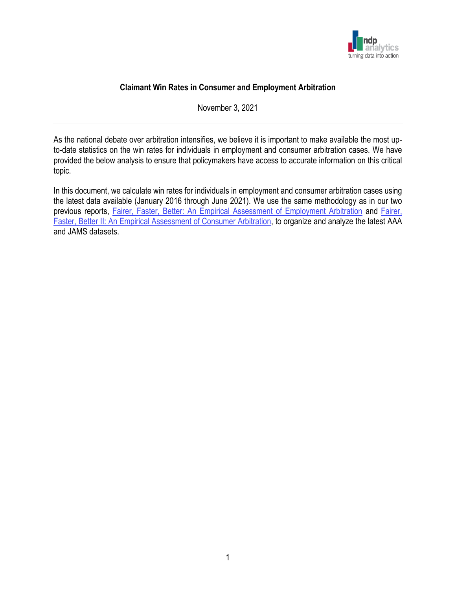

# **Claimant Win Rates in Consumer and Employment Arbitration**

November 3, 2021

As the national debate over arbitration intensifies, we believe it is important to make available the most upto-date statistics on the win rates for individuals in employment and consumer arbitration cases. We have provided the below analysis to ensure that policymakers have access to accurate information on this critical topic.

In this document, we calculate win rates for individuals in employment and consumer arbitration cases using the latest data available (January 2016 through June 2021). We use the same methodology as in our two previous reports, [Fairer, Faster, Better: An Empirical Assessment of Employment Arbitration](https://ndpanalytics.com/fairer-faster-better-an-empirical-assessment-of-employment-arbitration/) and [Fairer,](https://ndpanalytics.com/fairer-faster-better-ii-an-empirical-assessment-of-consumer-arbitration/)  [Faster, Better II: An Empirical Assessment of Consumer Arbitration,](https://ndpanalytics.com/fairer-faster-better-ii-an-empirical-assessment-of-consumer-arbitration/) to organize and analyze the latest AAA and JAMS datasets.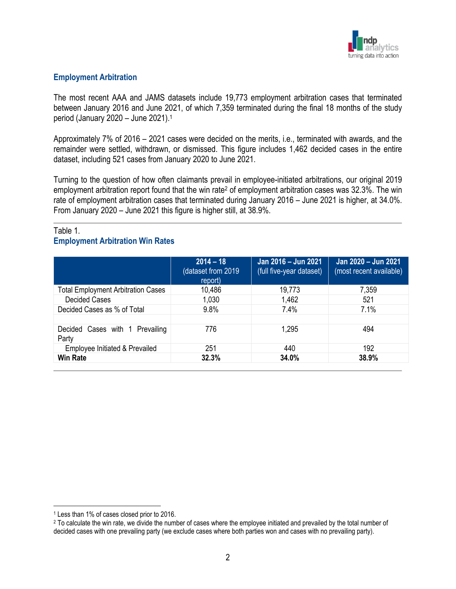

### **Employment Arbitration**

The most recent AAA and JAMS datasets include 19,773 employment arbitration cases that terminated between January 2016 and June 2021, of which 7,359 terminated during the final 18 months of the study period (January 2020 – June 2021). 1

Approximately 7% of 2016 – 2021 cases were decided on the merits, i.e., terminated with awards, and the remainder were settled, withdrawn, or dismissed. This figure includes 1,462 decided cases in the entire dataset, including 521 cases from January 2020 to June 2021.

Turning to the question of how often claimants prevail in employee-initiated arbitrations, our original 2019 employment arbitration report found that the win rate<sup>2</sup> of employment arbitration cases was 32.3%. The win rate of employment arbitration cases that terminated during January 2016 – June 2021 is higher, at 34.0%. From January 2020 – June 2021 this figure is higher still, at 38.9%.

## Table 1. **Employment Arbitration Win Rates**

|                                           | $2014 - 18$<br>(dataset from 2019)<br>report) | Jan 2016 - Jun 2021<br>(full five-year dataset) | Jan 2020 - Jun 2021<br>(most recent available) |
|-------------------------------------------|-----------------------------------------------|-------------------------------------------------|------------------------------------------------|
| <b>Total Employment Arbitration Cases</b> | 10,486                                        | 19,773                                          | 7,359                                          |
| <b>Decided Cases</b>                      | 1,030                                         | 1,462                                           | 521                                            |
| Decided Cases as % of Total               | 9.8%                                          | 7.4%                                            | 7.1%                                           |
| Decided Cases with 1 Prevailing<br>Party  | 776                                           | 1,295                                           | 494                                            |
| Employee Initiated & Prevailed            | 251                                           | 440                                             | 192                                            |
| <b>Win Rate</b>                           | 32.3%                                         | 34.0%                                           | 38.9%                                          |

<sup>1</sup> Less than 1% of cases closed prior to 2016.

<sup>&</sup>lt;sup>2</sup> To calculate the win rate, we divide the number of cases where the employee initiated and prevailed by the total number of decided cases with one prevailing party (we exclude cases where both parties won and cases with no prevailing party).